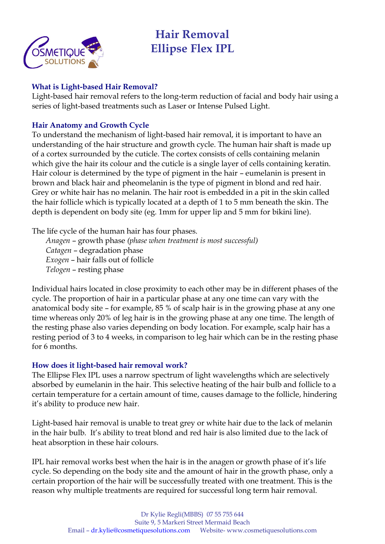

# **Hair Removal Ellipse Flex IPL**

### **What is Light-based Hair Removal?**

Light-based hair removal refers to the long-term reduction of facial and body hair using a series of light-based treatments such as Laser or Intense Pulsed Light.

## **Hair Anatomy and Growth Cycle**

To understand the mechanism of light-based hair removal, it is important to have an understanding of the hair structure and growth cycle. The human hair shaft is made up of a cortex surrounded by the cuticle. The cortex consists of cells containing melanin which give the hair its colour and the cuticle is a single layer of cells containing keratin. Hair colour is determined by the type of pigment in the hair – eumelanin is present in brown and black hair and pheomelanin is the type of pigment in blond and red hair. Grey or white hair has no melanin. The hair root is embedded in a pit in the skin called the hair follicle which is typically located at a depth of 1 to 5 mm beneath the skin. The depth is dependent on body site (eg. 1mm for upper lip and 5 mm for bikini line).

The life cycle of the human hair has four phases.

*Anagen* – growth phase *(phase when treatment is most successful) Catagen* – degradation phase *Exogen* – hair falls out of follicle *Telogen* – resting phase

Individual hairs located in close proximity to each other may be in different phases of the cycle. The proportion of hair in a particular phase at any one time can vary with the anatomical body site – for example, 85 % of scalp hair is in the growing phase at any one time whereas only 20% of leg hair is in the growing phase at any one time. The length of the resting phase also varies depending on body location. For example, scalp hair has a resting period of 3 to 4 weeks, in comparison to leg hair which can be in the resting phase for 6 months.

## **How does it light-based hair removal work?**

The Ellipse Flex IPL uses a narrow spectrum of light wavelengths which are selectively absorbed by eumelanin in the hair. This selective heating of the hair bulb and follicle to a certain temperature for a certain amount of time, causes damage to the follicle, hindering it's ability to produce new hair.

Light-based hair removal is unable to treat grey or white hair due to the lack of melanin in the hair bulb. It's ability to treat blond and red hair is also limited due to the lack of heat absorption in these hair colours.

IPL hair removal works best when the hair is in the anagen or growth phase of it's life cycle. So depending on the body site and the amount of hair in the growth phase, only a certain proportion of the hair will be successfully treated with one treatment. This is the reason why multiple treatments are required for successful long term hair removal.